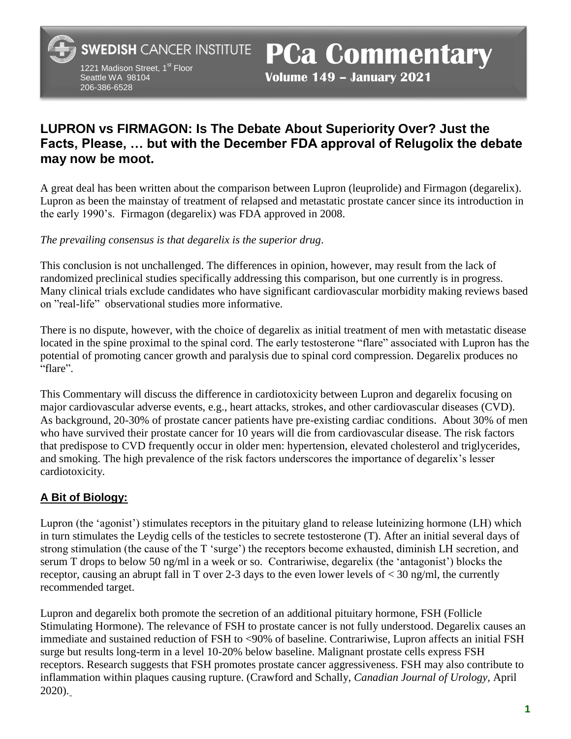**SWEDISH CANCER INSTITUTE** 

1221 Madison Street, 1<sup>st</sup> Floor Seattle WA 98104 206-386-6528

**PCa Commentary**

**Volume 149 – January 2021** 

# **LUPRON vs FIRMAGON: Is The Debate About Superiority Over? Just the Facts, Please, … but with the December FDA approval of Relugolix the debate may now be moot.**

A great deal has been written about the comparison between Lupron (leuprolide) and Firmagon (degarelix). Lupron as been the mainstay of treatment of relapsed and metastatic prostate cancer since its introduction in the early 1990's. Firmagon (degarelix) was FDA approved in 2008.

*The prevailing consensus is that degarelix is the superior drug*.

This conclusion is not unchallenged. The differences in opinion, however, may result from the lack of randomized preclinical studies specifically addressing this comparison, but one currently is in progress. Many clinical trials exclude candidates who have significant cardiovascular morbidity making reviews based on "real-life" observational studies more informative.

There is no dispute, however, with the choice of degarelix as initial treatment of men with metastatic disease located in the spine proximal to the spinal cord. The early testosterone "flare" associated with Lupron has the potential of promoting cancer growth and paralysis due to spinal cord compression. Degarelix produces no "flare".

This Commentary will discuss the difference in cardiotoxicity between Lupron and degarelix focusing on major cardiovascular adverse events, e.g., heart attacks, strokes, and other cardiovascular diseases (CVD). As background, 20-30% of prostate cancer patients have pre-existing cardiac conditions. About 30% of men who have survived their prostate cancer for 10 years will die from cardiovascular disease. The risk factors that predispose to CVD frequently occur in older men: hypertension, elevated cholesterol and triglycerides, and smoking. The high prevalence of the risk factors underscores the importance of degarelix's lesser cardiotoxicity.

## **A Bit of Biology:**

Lupron (the 'agonist') stimulates receptors in the pituitary gland to release luteinizing hormone (LH) which in turn stimulates the Leydig cells of the testicles to secrete testosterone (T). After an initial several days of strong stimulation (the cause of the T 'surge') the receptors become exhausted, diminish LH secretion, and serum T drops to below 50 ng/ml in a week or so. Contrariwise, degarelix (the 'antagonist') blocks the receptor, causing an abrupt fall in T over 2-3 days to the even lower levels of  $<$  30 ng/ml, the currently recommended target.

Lupron and degarelix both promote the secretion of an additional pituitary hormone, FSH (Follicle Stimulating Hormone). The relevance of FSH to prostate cancer is not fully understood. Degarelix causes an immediate and sustained reduction of FSH to <90% of baseline. Contrariwise, Lupron affects an initial FSH surge but results long-term in a level 10-20% below baseline. Malignant prostate cells express FSH receptors. Research suggests that FSH promotes prostate cancer aggressiveness. FSH may also contribute to inflammation within plaques causing rupture. (Crawford and Schally, *Canadian Journal of Urology,* April 2020).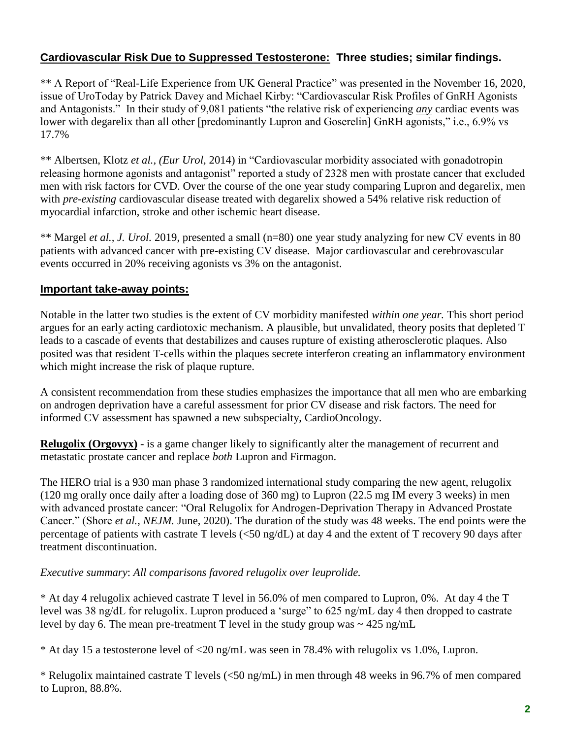## **Cardiovascular Risk Due to Suppressed Testosterone: Three studies; similar findings.**

\*\* A Report of "Real-Life Experience from UK General Practice" was presented in the November 16, 2020, issue of UroToday by Patrick Davey and Michael Kirby: "Cardiovascular Risk Profiles of GnRH Agonists and Antagonists." In their study of 9,081 patients "the relative risk of experiencing *any* cardiac events was lower with degarelix than all other [predominantly Lupron and Goserelin] GnRH agonists," i.e., 6.9% vs 17.7%

\*\* Albertsen, Klotz *et al., (Eur Urol,* 2014) in "Cardiovascular morbidity associated with gonadotropin releasing hormone agonists and antagonist" reported a study of 2328 men with prostate cancer that excluded men with risk factors for CVD. Over the course of the one year study comparing Lupron and degarelix, men with *pre-existing* cardiovascular disease treated with degarelix showed a 54% relative risk reduction of myocardial infarction, stroke and other ischemic heart disease.

\*\* Margel *et al., J. Urol.* 2019, presented a small (n=80) one year study analyzing for new CV events in 80 patients with advanced cancer with pre-existing CV disease. Major cardiovascular and cerebrovascular events occurred in 20% receiving agonists vs 3% on the antagonist.

## **Important take-away points:**

Notable in the latter two studies is the extent of CV morbidity manifested *within one year.* This short period argues for an early acting cardiotoxic mechanism. A plausible, but unvalidated, theory posits that depleted T leads to a cascade of events that destabilizes and causes rupture of existing atherosclerotic plaques. Also posited was that resident T-cells within the plaques secrete interferon creating an inflammatory environment which might increase the risk of plaque rupture.

A consistent recommendation from these studies emphasizes the importance that all men who are embarking on androgen deprivation have a careful assessment for prior CV disease and risk factors. The need for informed CV assessment has spawned a new subspecialty, CardioOncology.

**Relugolix (Orgovyx)** - is a game changer likely to significantly alter the management of recurrent and metastatic prostate cancer and replace *both* Lupron and Firmagon.

The HERO trial is a 930 man phase 3 randomized international study comparing the new agent, relugolix (120 mg orally once daily after a loading dose of 360 mg) to Lupron (22.5 mg IM every 3 weeks) in men with advanced prostate cancer: "Oral Relugolix for Androgen-Deprivation Therapy in Advanced Prostate Cancer." (Shore *et al., NEJM.* June, 2020). The duration of the study was 48 weeks. The end points were the percentage of patients with castrate T levels (<50 ng/dL) at day 4 and the extent of T recovery 90 days after treatment discontinuation.

#### *Executive summary*: *All comparisons favored relugolix over leuprolide.*

\* At day 4 relugolix achieved castrate T level in 56.0% of men compared to Lupron, 0%. At day 4 the T level was 38 ng/dL for relugolix. Lupron produced a 'surge" to 625 ng/mL day 4 then dropped to castrate level by day 6. The mean pre-treatment T level in the study group was  $\sim$  425 ng/mL

\* At day 15 a testosterone level of <20 ng/mL was seen in 78.4% with relugolix vs 1.0%, Lupron.

\* Relugolix maintained castrate T levels (<50 ng/mL) in men through 48 weeks in 96.7% of men compared to Lupron, 88.8%.